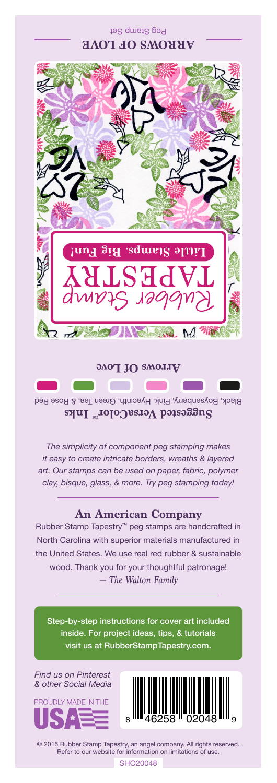Peg Stamp Set **ARROWS OF LOVE**



Black, Boysenberry, Pink, Hyacinth, Green Tea, & Rose Red Suggested VersaColor<sup>m</sup> Inks

*The simplicity of component peg stamping makes it easy to create intricate borders, wreaths & layered art. Our stamps can be used on paper, fabric, polymer clay, bisque, glass, & more. Try peg stamping today!*

## **An American Company**

*— The Walton Family* Rubber Stamp Tapestry™ peg stamps are handcrafted in North Carolina with superior materials manufactured in the United States. We use real red rubber & sustainable wood. Thank you for your thoughtful patronage!

Step-by-step instructions for cover art included inside. For project ideas, tips, & tutorials visit us at RubberStampTapestry.com.

*Find us on Pinterest & other Social Media*





© 2015 Rubber Stamp Tapestry, an angel company. All rights reserved. Refer to our website for information on limitations of use.